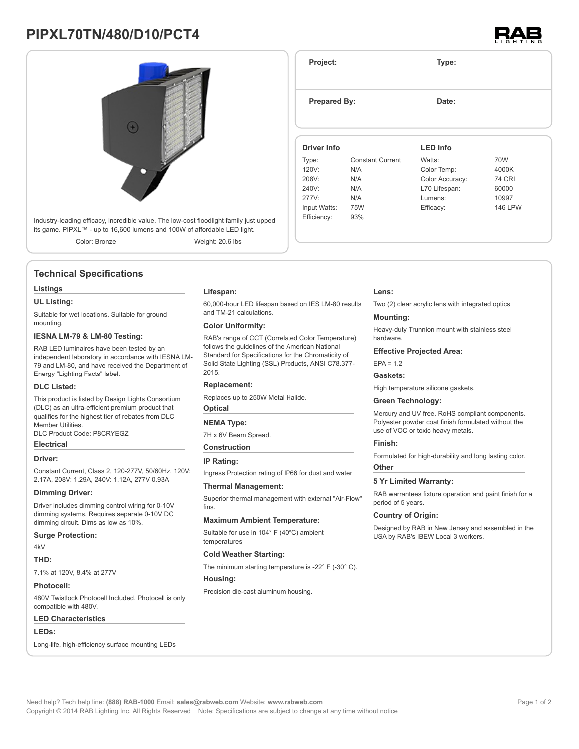# **PIPXL70TN/480/D10/PCT4**



its game. PIPXL™ - up to 16,600 lumens and 100W of affordable LED light. Color: Bronze Weight: 20.6 lbs

### **Technical Specifications**

#### **Listings**

#### **UL Listing:**

Suitable for wet locations. Suitable for ground mounting.

#### **IESNA LM-79 & LM-80 Testing:**

RAB LED luminaires have been tested by an independent laboratory in accordance with IESNA LM-79 and LM-80, and have received the Department of Energy "Lighting Facts" label.

#### **DLC Listed:**

This product is listed by Design Lights Consortium (DLC) as an ultra-efficient premium product that qualifies for the highest tier of rebates from DLC Member Utilities. DLC Product Code: P8CRYEGZ

### **Electrical Driver:**

Constant Current, Class 2, 120-277V, 50/60Hz, 120V: 2.17A, 208V: 1.29A, 240V: 1.12A, 277V 0.93A

#### **Dimming Driver:**

Driver includes dimming control wiring for 0-10V dimming systems. Requires separate 0-10V DC dimming circuit. Dims as low as 10%.

#### **Surge Protection:**

4kV

#### **THD:**

7.1% at 120V, 8.4% at 277V

#### **Photocell:**

480V Twistlock Photocell Included. Photocell is only compatible with 480V.

#### **LED Characteristics**

**LEDs:**

Long-life, high-efficiency surface mounting LEDs

### **Lifespan:**

60,000-hour LED lifespan based on IES LM-80 results and TM-21 calculations.

#### **Color Uniformity:**

RAB's range of CCT (Correlated Color Temperature) follows the guidelines of the American National Standard for Specifications for the Chromaticity of Solid State Lighting (SSL) Products, ANSI C78.377- 2015.

### **Replacement:**

Replaces up to 250W Metal Halide.

### **Optical**

### **NEMA Type:**

7H x 6V Beam Spread.

**Construction**

#### **IP Rating:**

Ingress Protection rating of IP66 for dust and water

#### **Thermal Management:**

Superior thermal management with external "Air-Flow" fins.

#### **Maximum Ambient Temperature:**

Suitable for use in 104° F (40°C) ambient temperatures

#### **Cold Weather Starting:**

The minimum starting temperature is -22° F (-30° C).

#### **Housing:**

Precision die-cast aluminum housing.

## **Lens:**

Two (2) clear acrylic lens with integrated optics

#### **Mounting:**

Heavy-duty Trunnion mount with stainless steel hardware.

#### **Effective Projected Area:**

 $FPA = 1.2$ 

#### **Gaskets:**

High temperature silicone gaskets.

#### **Green Technology:**

Mercury and UV free. RoHS compliant components. Polyester powder coat finish formulated without the use of VOC or toxic heavy metals.

#### **Finish:**

Formulated for high-durability and long lasting color. **Other**

#### **5 Yr Limited Warranty:**

RAB warrantees fixture operation and paint finish for a period of 5 years.

#### **Country of Origin:**

Designed by RAB in New Jersey and assembled in the USA by RAB's IBEW Local 3 workers.



**Project: Type: Prepared By:** Date: **Driver Info** Type: Constant Current 120V: N/A 208V: N/A 240V: N/A 277V: N/A Input Watts: 75W Efficiency: 93% **LED Info** Watts: 70W Color Temp: 4000K Color Accuracy: 74 CRI L70 Lifespan: 60000 Lumens: 10997 Efficacy: 146 LPW